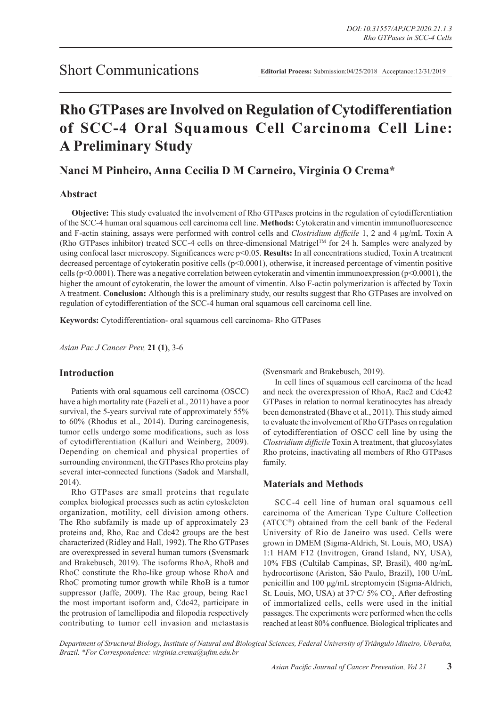# **Rho GTPases are Involved on Regulation of Cytodifferentiation of SCC-4 Oral Squamous Cell Carcinoma Cell Line: A Preliminary Study**

# **Nanci M Pinheiro, Anna Cecilia D M Carneiro, Virginia O Crema\***

## **Abstract**

**Objective:** This study evaluated the involvement of Rho GTPases proteins in the regulation of cytodifferentiation of the SCC-4 human oral squamous cell carcinoma cell line. **Methods:** Cytokeratin and vimentin immunofluorescence and F-actin staining, assays were performed with control cells and *Clostridium difficile* 1, 2 and 4 μg/mL Toxin A (Rho GTPases inhibitor) treated SCC-4 cells on three-dimensional Matrigel<sup>TM</sup> for 24 h. Samples were analyzed by using confocal laser microscopy. Significances were p<0.05. **Results:** In all concentrations studied, Toxin A treatment decreased percentage of cytokeratin positive cells (p<0.0001), otherwise, it increased percentage of vimentin positive cells (p<0.0001). There was a negative correlation between cytokeratin and vimentin immunoexpression (p<0.0001), the higher the amount of cytokeratin, the lower the amount of vimentin. Also F-actin polymerization is affected by Toxin A treatment. **Conclusion:** Although this is a preliminary study, our results suggest that Rho GTPases are involved on regulation of cytodifferentiation of the SCC-4 human oral squamous cell carcinoma cell line.

**Keywords:** Cytodifferentiation- oral squamous cell carcinoma- Rho GTPases

*Asian Pac J Cancer Prev,* **21 (1)**, 3-6

### **Introduction**

Patients with oral squamous cell carcinoma (OSCC) have a high mortality rate (Fazeli et al., 2011) have a poor survival, the 5-years survival rate of approximately 55% to 60% (Rhodus et al., 2014). During carcinogenesis, tumor cells undergo some modifications, such as loss of cytodifferentiation (Kalluri and Weinberg, 2009). Depending on chemical and physical properties of surrounding environment, the GTPases Rho proteins play several inter-connected functions (Sadok and Marshall, 2014).

Rho GTPases are small proteins that regulate complex biological processes such as actin cytoskeleton organization, motility, cell division among others. The Rho subfamily is made up of approximately 23 proteins and, Rho, Rac and Cdc42 groups are the best characterized (Ridley and Hall, 1992). The Rho GTPases are overexpressed in several human tumors (Svensmark and Brakebusch, 2019). The isoforms RhoA, RhoB and RhoC constitute the Rho-like group whose RhoA and RhoC promoting tumor growth while RhoB is a tumor suppressor (Jaffe, 2009). The Rac group, being Rac1 the most important isoform and, Cdc42, participate in the protrusion of lamellipodia and filopodia respectively contributing to tumor cell invasion and metastasis (Svensmark and Brakebusch, 2019).

In cell lines of squamous cell carcinoma of the head and neck the overexpression of RhoA, Rac2 and Cdc42 GTPases in relation to normal keratinocytes has already been demonstrated (Bhave et al., 2011). This study aimed to evaluate the involvement of Rho GTPases on regulation of cytodifferentiation of OSCC cell line by using the *Clostridium difficile* Toxin A treatment, that glucosylates Rho proteins, inactivating all members of Rho GTPases family.

### **Materials and Methods**

SCC-4 cell line of human oral squamous cell carcinoma of the American Type Culture Collection (ATCC®) obtained from the cell bank of the Federal University of Rio de Janeiro was used. Cells were grown in DMEM (Sigma-Aldrich, St. Louis, MO, USA) 1:1 HAM F12 (Invitrogen, Grand Island, NY, USA), 10% FBS (Cultilab Campinas, SP, Brasil), 400 ng/mL hydrocortisone (Ariston, São Paulo, Brazil), 100 U/mL penicillin and 100 μg/mL streptomycin (Sigma-Aldrich, St. Louis, MO, USA) at  $37^{\circ}C/5\%$  CO<sub>2</sub>. After defrosting of immortalized cells, cells were used in the initial passages. The experiments were performed when the cells reached at least 80% confluence. Biological triplicates and

*Department of Structural Biology, Institute of Natural and Biological Sciences, Federal University of Triângulo Mineiro, Uberaba, Brazil. \*For Correspondence: virginia.crema@uftm.edu.br*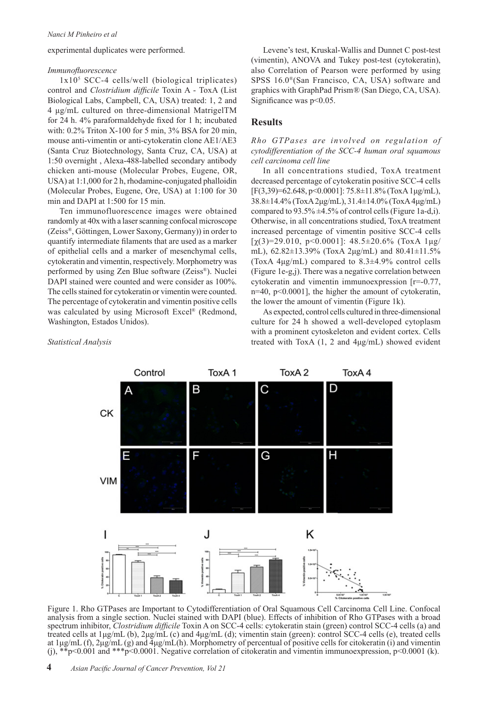experimental duplicates were performed.

#### *Immunofluorescence*

1x105 SCC-4 cells/well (biological triplicates) control and *Clostridium difficile* Toxin A - ToxA (List Biological Labs, Campbell, CA, USA) treated: 1, 2 and 4 μg/mL cultured on three-dimensional MatrigelTM for 24 h. 4% paraformaldehyde fixed for 1 h; incubated with: 0.2% Triton X-100 for 5 min, 3% BSA for 20 min, mouse anti-vimentin or anti-cytokeratin clone AE1/AE3 (Santa Cruz Biotechnology, Santa Cruz, CA, USA) at 1:50 overnight , Alexa-488-labelled secondary antibody chicken anti-mouse (Molecular Probes, Eugene, OR, USA) at 1:1,000 for 2 h, rhodamine-conjugated phalloidin (Molecular Probes, Eugene, Ore, USA) at 1:100 for 30 min and DAPI at 1:500 for 15 min.

Ten immunofluorescence images were obtained randomly at 40x with a laser scanning confocal microscope (Zeiss®, Göttingen, Lower Saxony, Germany)) in order to quantify intermediate filaments that are used as a marker of epithelial cells and a marker of mesenchymal cells, cytokeratin and vimentin, respectively. Morphometry was performed by using Zen Blue software (Zeiss®). Nuclei DAPI stained were counted and were consider as 100%. The cells stained for cytokeratin or vimentin were counted. The percentage of cytokeratin and vimentin positive cells was calculated by using Microsoft Excel® (Redmond, Washington, Estados Unidos).

Levene's test, Kruskal-Wallis and Dunnet C post-test (vimentin), ANOVA and Tukey post-test (cytokeratin), also Correlation of Pearson were performed by using SPSS 16.0®(San Francisco, CA, USA) software and graphics with GraphPad Prism*®* (San Diego, CA, USA). Significance was  $p<0.05$ .

#### **Results**

*Rho GTPases are involved on regulation of cytodifferentiation of the SCC-4 human oral squamous cell carcinoma cell line*

In all concentrations studied, ToxA treatment decreased percentage of cytokeratin positive SCC-4 cells [F(3,39)=62.648, p<0.0001]: 75.8±11.8% (ToxA 1μg/mL), 38.8±14.4% (ToxA 2μg/mL), 31.4±14.0% (ToxA 4μg/mL) compared to  $93.5\% \pm 4.5\%$  of control cells (Figure 1a-d,i). Otherwise, in all concentrations studied, ToxA treatment increased percentage of vimentin positive SCC-4 cells [χ(3)=29.010, p<0.0001]: 48.5±20.6% (ToxA 1μg/ mL), 62.82±13.39% (ToxA 2μg/mL) and 80.41±11.5% (ToxA 4μg/mL) compared to 8.3±4.9% control cells (Figure 1e-g,j). There was a negative correlation between cytokeratin and vimentin immunoexpression [r=-0.77, n=40, p<0.0001], the higher the amount of cytokeratin, the lower the amount of vimentin (Figure 1k).

As expected, control cells cultured in three-dimensional culture for 24 h showed a well-developed cytoplasm with a prominent cytoskeleton and evident cortex. Cells treated with ToxA (1, 2 and 4μg/mL) showed evident

*Statistical Analysis*



Figure 1. Rho GTPases are Important to Cytodifferentiation of Oral Squamous Cell Carcinoma Cell Line. Confocal analysis from a single section. Nuclei stained with DAPI (blue). Effects of inhibition of Rho GTPases with a broad spectrum inhibitor, *Clostridium difficile* Toxin A on SCC-4 cells: cytokeratin stain (green) control SCC-4 cells (a) and treated cells at 1μg/mL (b), 2μg/mL (c) and 4μg/mL (d); vimentin stain (green): control SCC-4 cells (e), treated cells at 1μg/mL (f), 2μg/mL (g) and  $\overline{4}$ μg/mL(h). Morphometry of percentual of positive cells for citokeratin (i) and vimentin (i),  $*_{\rm p}$  <0.001 and  $*_{\rm p}$  <0.0001. Negative correlation of citokeratin and vimentin immunoexpression, p <0.0001 (k).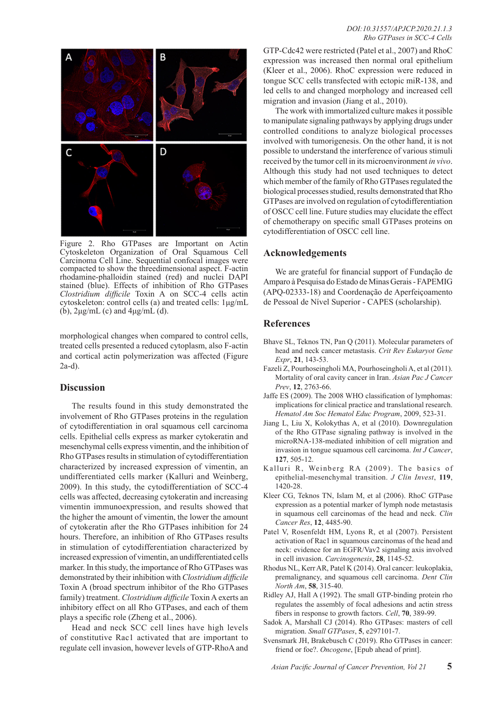

Figure 2. Rho GTPases are Important on Actin Cytoskeleton Organization of Oral Squamous Cell Carcinoma Cell Line. Sequential confocal images were compacted to show the threedimensional aspect. F-actin rhodamine-phalloidin stained (red) and nuclei DAPI stained (blue). Effects of inhibition of Rho GTPases *Clostridium difficile* Toxin A on SCC-4 cells actin cytoskeleton: control cells (a) and treated cells: 1μg/mL (b),  $2\mu g/mL$  (c) and  $4\mu g/mL$  (d).

morphological changes when compared to control cells, treated cells presented a reduced cytoplasm, also F-actin and cortical actin polymerization was affected (Figure 2a-d).

#### **Discussion**

The results found in this study demonstrated the involvement of Rho GTPases proteins in the regulation of cytodifferentiation in oral squamous cell carcinoma cells. Epithelial cells express as marker cytokeratin and mesenchymal cells express vimentin, and the inhibition of Rho GTPases results in stimulation of cytodifferentiation characterized by increased expression of vimentin, an undifferentiated cells marker (Kalluri and Weinberg, 2009). In this study, the cytodifferentiation of SCC-4 cells was affected, decreasing cytokeratin and increasing vimentin immunoexpression, and results showed that the higher the amount of vimentin, the lower the amount of cytokeratin after the Rho GTPases inhibition for 24 hours. Therefore, an inhibition of Rho GTPases results in stimulation of cytodifferentiation characterized by increased expression of vimentin, an undifferentiated cells marker. In this study, the importance of Rho GTPases was demonstrated by their inhibition with *Clostridium difficile* Toxin A (broad spectrum inhibitor of the Rho GTPases family) treatment. *Clostridium difficile* Toxin A exerts an inhibitory effect on all Rho GTPases, and each of them plays a specific role (Zheng et al., 2006).

Head and neck SCC cell lines have high levels of constitutive Rac1 activated that are important to regulate cell invasion, however levels of GTP-RhoA and GTP-Cdc42 were restricted (Patel et al., 2007) and RhoC expression was increased then normal oral epithelium (Kleer et al., 2006). RhoC expression were reduced in tongue SCC cells transfected with ectopic miR-138, and led cells to and changed morphology and increased cell migration and invasion (Jiang et al., 2010).

The work with immortalized culture makes it possible to manipulate signaling pathways by applying drugs under controlled conditions to analyze biological processes involved with tumorigenesis. On the other hand, it is not possible to understand the interference of various stimuli received by the tumor cell in its microenvironment *in vivo*. Although this study had not used techniques to detect which member of the family of Rho GTPases regulated the biological processes studied, results demonstrated that Rho GTPases are involved on regulation of cytodifferentiation of OSCC cell line. Future studies may elucidate the effect of chemotherapy on specific small GTPases proteins on cytodifferentiation of OSCC cell line.

#### **Acknowledgements**

We are grateful for financial support of Fundação de Amparo à Pesquisa do Estado de Minas Gerais - FAPEMIG (APQ-02333-18) and Coordenação de Aperfeiçoamento de Pessoal de Nível Superior - CAPES (scholarship).

#### **References**

- Bhave SL, Teknos TN, Pan Q (2011). Molecular parameters of head and neck cancer metastasis. *Crit Rev Eukaryot Gene Expr*, **21**, 143-53.
- Fazeli Z, Pourhoseingholi MA, Pourhoseingholi A, et al (2011). Mortality of oral cavity cancer in Iran. *Asian Pac J Cancer Prev*, **12**, 2763-66.
- Jaffe ES (2009). The 2008 WHO classification of lymphomas: implications for clinical practice and translational research. *Hematol Am Soc Hematol Educ Program*, 2009, 523-31.
- Jiang L, Liu X, Kolokythas A, et al (2010). Downregulation of the Rho GTPase signaling pathway is involved in the microRNA-138-mediated inhibition of cell migration and invasion in tongue squamous cell carcinoma. *Int J Cancer*, **127**, 505-12.
- Kalluri R, Weinberg RA (2009). The basics of epithelial-mesenchymal transition. *J Clin Invest*, **119**, 1420-28.
- Kleer CG, Teknos TN, Islam M, et al (2006). RhoC GTPase expression as a potential marker of lymph node metastasis in squamous cell carcinomas of the head and neck. *Clin Cancer Res*, **12**, 4485-90.
- Patel V, Rosenfeldt HM, Lyons R, et al (2007). Persistent activation of Rac1 in squamous carcinomas of the head and neck: evidence for an EGFR/Vav2 signaling axis involved in cell invasion. *Carcinogenesis*, **28**, 1145-52.
- Rhodus NL, Kerr AR, Patel K (2014). Oral cancer: leukoplakia, premalignancy, and squamous cell carcinoma. *Dent Clin North Am*, **58**, 315-40.
- Ridley AJ, Hall A (1992). The small GTP-binding protein rho regulates the assembly of focal adhesions and actin stress fibers in response to growth factors. *Cell*, **70**, 389-99.
- Sadok A, Marshall CJ (2014). Rho GTPases: masters of cell migration. *Small GTPases*, **5**, e297101-7.
- Svensmark JH, Brakebusch C (2019). Rho GTPases in cancer: friend or foe?. *Oncogene*, [Epub ahead of print].